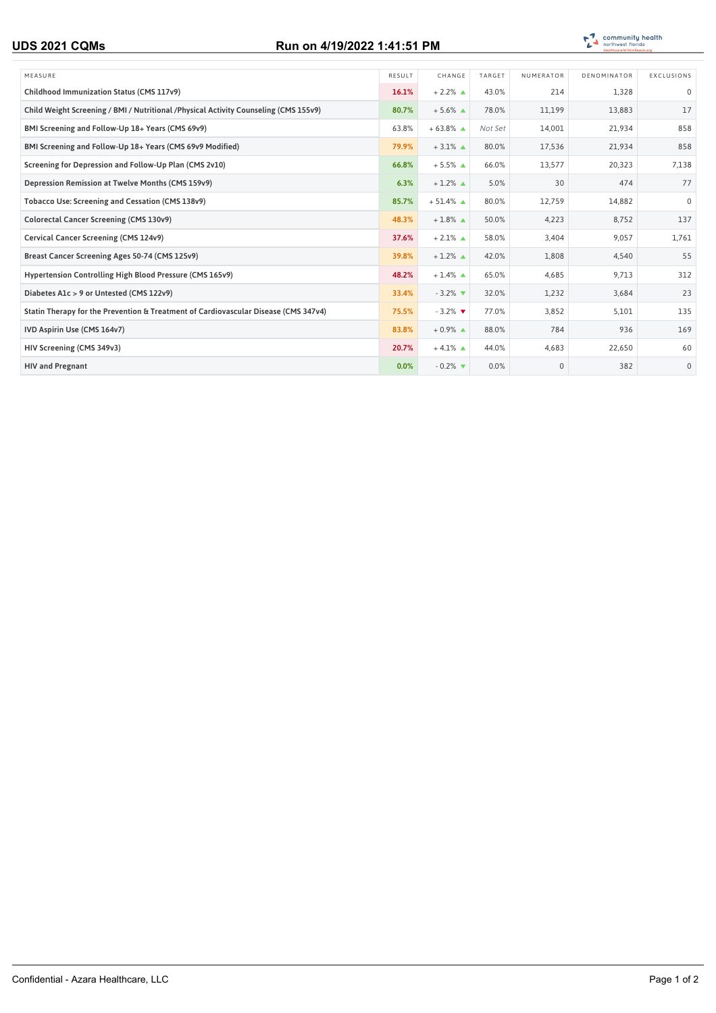## **UDS 2021 CQMs Run on 4/19/2022 1:41:51 PM**



| MEASURE                                                                               | RESULT | CHANGE                        | TARGET  | NUMERATOR | DENOMINATOR | EXCLUSIONS   |
|---------------------------------------------------------------------------------------|--------|-------------------------------|---------|-----------|-------------|--------------|
| Childhood Immunization Status (CMS 117v9)                                             | 16.1%  | $+2.2\%$ $\triangle$          | 43.0%   | 214       | 1,328       | $\mathbf 0$  |
| Child Weight Screening / BMI / Nutritional / Physical Activity Counseling (CMS 155v9) | 80.7%  | $+5.6\%$ $\triangle$          | 78.0%   | 11,199    | 13,883      | 17           |
| BMI Screening and Follow-Up 18+ Years (CMS 69v9)                                      | 63.8%  | $+63.8\%$ $\triangle$         | Not Set | 14,001    | 21,934      | 858          |
| BMI Screening and Follow-Up 18+ Years (CMS 69v9 Modified)                             | 79.9%  | $+3.1\%$ $\triangle$          | 80.0%   | 17,536    | 21,934      | 858          |
| Screening for Depression and Follow-Up Plan (CMS 2v10)                                | 66.8%  | $+5.5\%$ $\triangle$          | 66.0%   | 13,577    | 20,323      | 7,138        |
| Depression Remission at Twelve Months (CMS 159v9)                                     | 6.3%   | $+1.2\%$ $\triangle$          | 5.0%    | 30        | 474         | 77           |
| Tobacco Use: Screening and Cessation (CMS 138v9)                                      | 85.7%  | $+51.4\%$ $\triangle$         | 80.0%   | 12,759    | 14,882      | $\Omega$     |
| Colorectal Cancer Screening (CMS 130v9)                                               | 48.3%  | $+1.8\%$ $\triangle$          | 50.0%   | 4,223     | 8,752       | 137          |
| Cervical Cancer Screening (CMS 124v9)                                                 | 37.6%  | $+2.1\%$ $\triangle$          | 58.0%   | 3,404     | 9,057       | 1,761        |
| Breast Cancer Screening Ages 50-74 (CMS 125v9)                                        | 39.8%  | $+1.2\%$ $\triangle$          | 42.0%   | 1,808     | 4,540       | 55           |
| Hypertension Controlling High Blood Pressure (CMS 165v9)                              | 48.2%  | $+1.4\%$ $\triangle$          | 65.0%   | 4,685     | 9,713       | 312          |
| Diabetes A1c > 9 or Untested (CMS 122v9)                                              | 33.4%  | $-3.2\%$                      | 32.0%   | 1,232     | 3,684       | 23           |
| Statin Therapy for the Prevention & Treatment of Cardiovascular Disease (CMS 347v4)   | 75.5%  | $-3.2\%$                      | 77.0%   | 3,852     | 5,101       | 135          |
| IVD Aspirin Use (CMS 164v7)                                                           | 83.8%  | $+0.9\%$ $\triangle$          | 88.0%   | 784       | 936         | 169          |
| HIV Screening (CMS 349v3)                                                             | 20.7%  | $+4.1\%$ $\triangle$          | 44.0%   | 4,683     | 22,650      | 60           |
| <b>HIV and Pregnant</b>                                                               | 0.0%   | $-0.2\%$ $\blacktriangledown$ | 0.0%    | $\Omega$  | 382         | $\mathbf{0}$ |